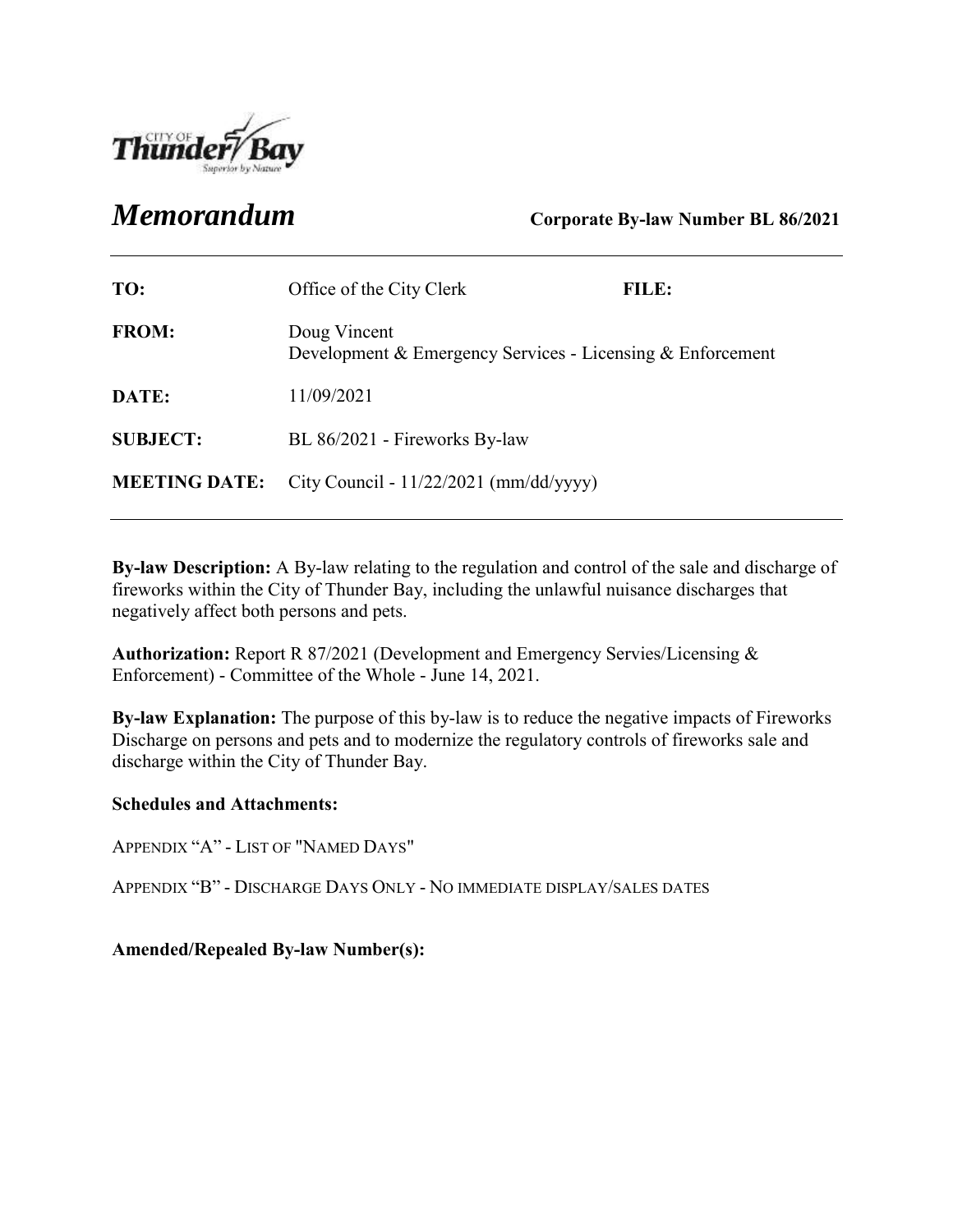

*Memorandum* **Corporate By-law Number BL 86/2021**

| TO:                  | Office of the City Clerk                                                   | FILE: |
|----------------------|----------------------------------------------------------------------------|-------|
| <b>FROM:</b>         | Doug Vincent<br>Development & Emergency Services - Licensing & Enforcement |       |
| DATE:                | 11/09/2021                                                                 |       |
| <b>SUBJECT:</b>      | BL 86/2021 - Fireworks By-law                                              |       |
| <b>MEETING DATE:</b> | City Council - $11/22/2021$ (mm/dd/yyyy)                                   |       |

**By-law Description:** A By-law relating to the regulation and control of the sale and discharge of fireworks within the City of Thunder Bay, including the unlawful nuisance discharges that negatively affect both persons and pets.

**Authorization:** Report R 87/2021 (Development and Emergency Servies/Licensing & Enforcement) - Committee of the Whole - June 14, 2021.

**By-law Explanation:** The purpose of this by-law is to reduce the negative impacts of Fireworks Discharge on persons and pets and to modernize the regulatory controls of fireworks sale and discharge within the City of Thunder Bay.

#### **Schedules and Attachments:**

APPENDIX "A" - LIST OF "NAMED DAYS"

APPENDIX "B" - DISCHARGE DAYS ONLY - NO IMMEDIATE DISPLAY/SALES DATES

**Amended/Repealed By-law Number(s):**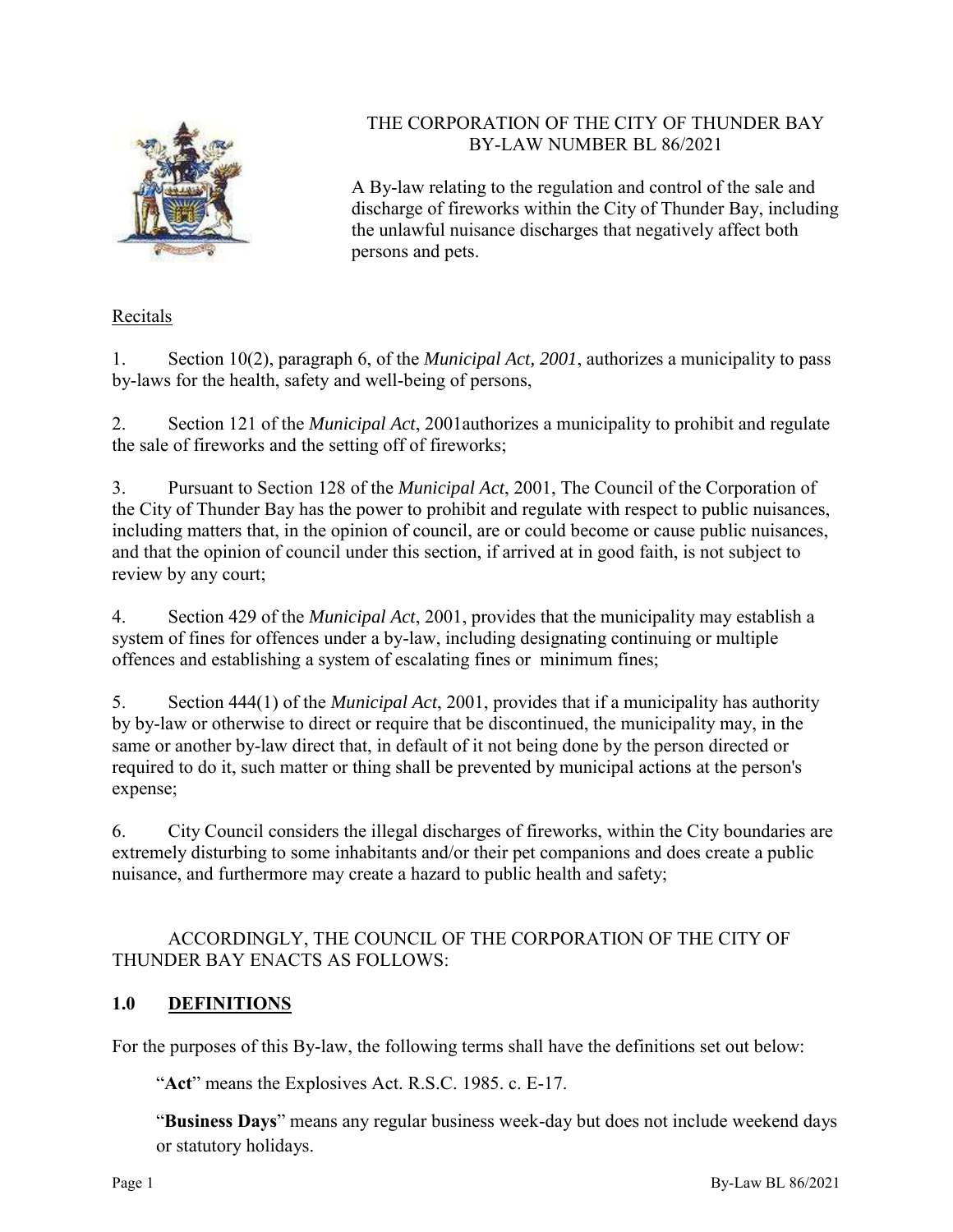

## THE CORPORATION OF THE CITY OF THUNDER BAY BY-LAW NUMBER BL 86/2021

A By-law relating to the regulation and control of the sale and discharge of fireworks within the City of Thunder Bay, including the unlawful nuisance discharges that negatively affect both persons and pets.

## Recitals

1. Section 10(2), paragraph 6, of the *Municipal Act, 2001*, authorizes a municipality to pass by-laws for the health, safety and well-being of persons,

2. Section 121 of the *Municipal Act*, 2001authorizes a municipality to prohibit and regulate the sale of fireworks and the setting off of fireworks;

3. Pursuant to Section 128 of the *Municipal Act*, 2001, The Council of the Corporation of the City of Thunder Bay has the power to prohibit and regulate with respect to public nuisances, including matters that, in the opinion of council, are or could become or cause public nuisances, and that the opinion of council under this section, if arrived at in good faith, is not subject to review by any court;

4. Section 429 of the *Municipal Act*, 2001, provides that the municipality may establish a system of fines for offences under a by-law, including designating continuing or multiple offences and establishing a system of escalating fines or minimum fines;

5. Section 444(1) of the *Municipal Act*, 2001, provides that if a municipality has authority by by-law or otherwise to direct or require that be discontinued, the municipality may, in the same or another by-law direct that, in default of it not being done by the person directed or required to do it, such matter or thing shall be prevented by municipal actions at the person's expense;

6. City Council considers the illegal discharges of fireworks, within the City boundaries are extremely disturbing to some inhabitants and/or their pet companions and does create a public nuisance, and furthermore may create a hazard to public health and safety;

## ACCORDINGLY, THE COUNCIL OF THE CORPORATION OF THE CITY OF THUNDER BAY ENACTS AS FOLLOWS:

## **1.0 DEFINITIONS**

For the purposes of this By-law, the following terms shall have the definitions set out below:

"**Act**" means the Explosives Act. R.S.C. 1985. c. E-17.

"**Business Days**" means any regular business week-day but does not include weekend days or statutory holidays.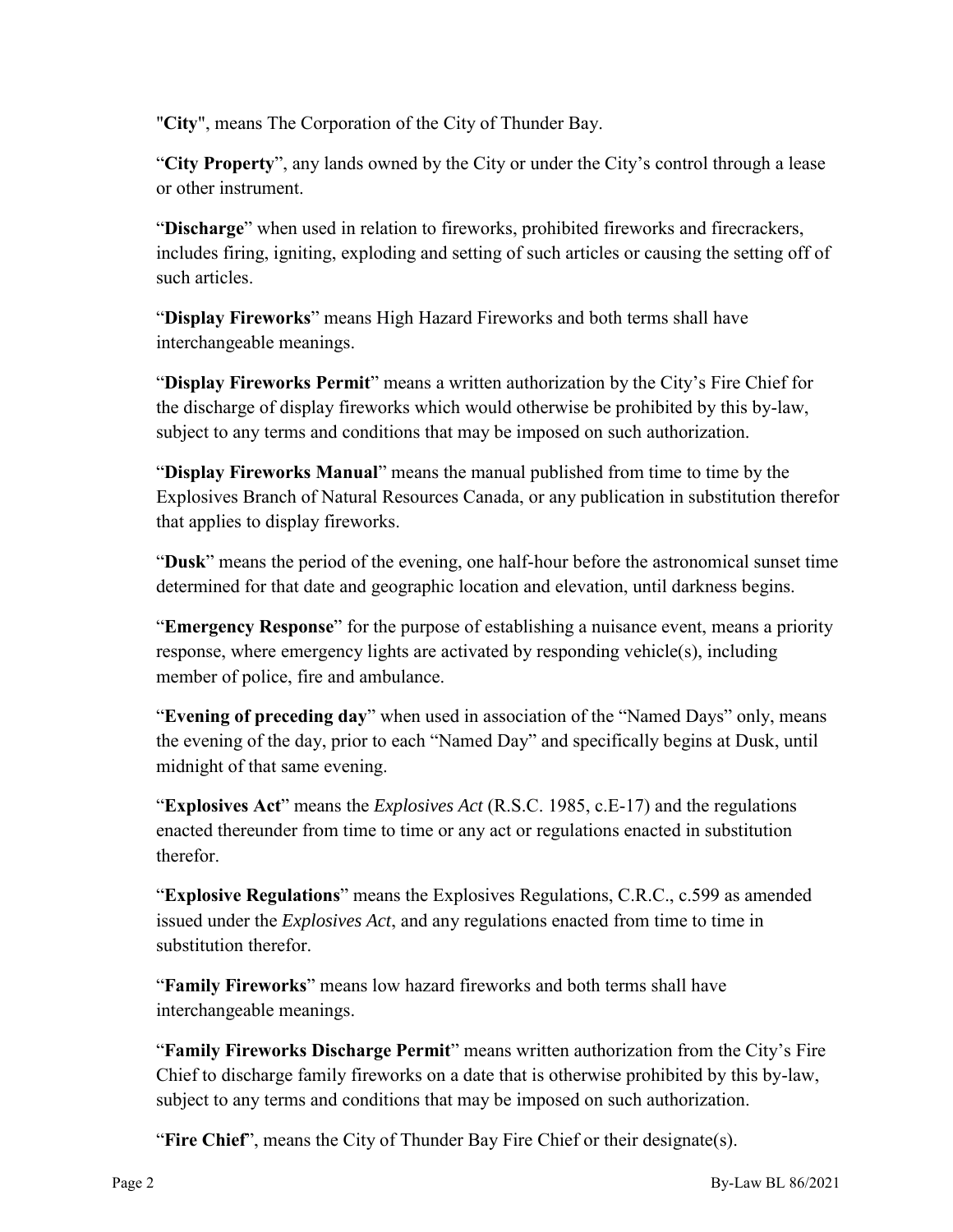"**City**", means The Corporation of the City of Thunder Bay.

"**City Property**", any lands owned by the City or under the City's control through a lease or other instrument.

"**Discharge**" when used in relation to fireworks, prohibited fireworks and firecrackers, includes firing, igniting, exploding and setting of such articles or causing the setting off of such articles.

"**Display Fireworks**" means High Hazard Fireworks and both terms shall have interchangeable meanings.

"**Display Fireworks Permit**" means a written authorization by the City's Fire Chief for the discharge of display fireworks which would otherwise be prohibited by this by-law, subject to any terms and conditions that may be imposed on such authorization.

"**Display Fireworks Manual**" means the manual published from time to time by the Explosives Branch of Natural Resources Canada, or any publication in substitution therefor that applies to display fireworks.

"**Dusk**" means the period of the evening, one half-hour before the astronomical sunset time determined for that date and geographic location and elevation, until darkness begins.

"**Emergency Response**" for the purpose of establishing a nuisance event, means a priority response, where emergency lights are activated by responding vehicle(s), including member of police, fire and ambulance.

"**Evening of preceding day**" when used in association of the "Named Days" only, means the evening of the day, prior to each "Named Day" and specifically begins at Dusk, until midnight of that same evening.

"**Explosives Act**" means the *Explosives Act* (R.S.C. 1985, c.E-17) and the regulations enacted thereunder from time to time or any act or regulations enacted in substitution therefor.

"**Explosive Regulations**" means the Explosives Regulations, C.R.C., c.599 as amended issued under the *Explosives Act*, and any regulations enacted from time to time in substitution therefor.

"**Family Fireworks**" means low hazard fireworks and both terms shall have interchangeable meanings.

"**Family Fireworks Discharge Permit**" means written authorization from the City's Fire Chief to discharge family fireworks on a date that is otherwise prohibited by this by-law, subject to any terms and conditions that may be imposed on such authorization.

"**Fire Chief**", means the City of Thunder Bay Fire Chief or their designate(s).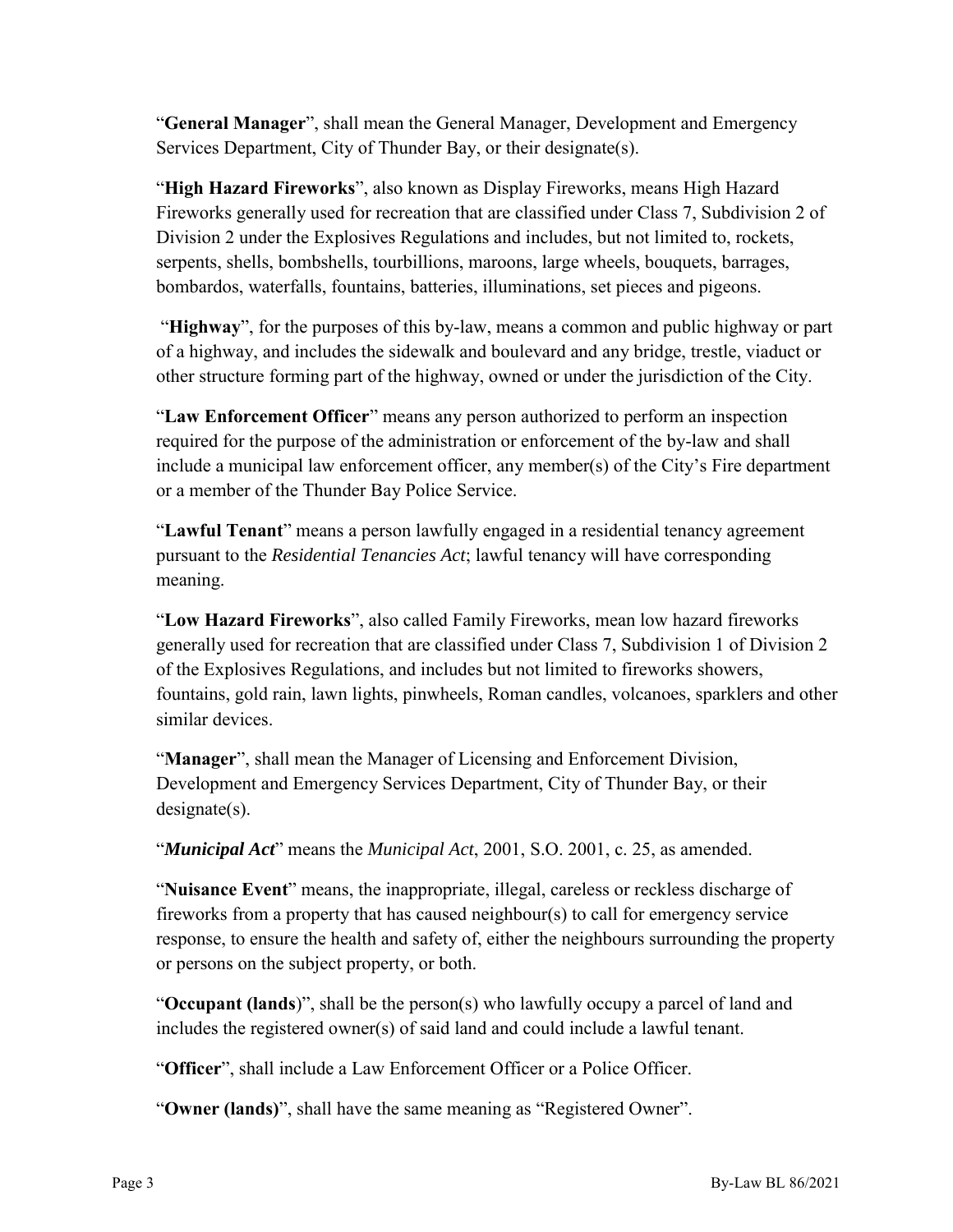"**General Manager**", shall mean the General Manager, Development and Emergency Services Department, City of Thunder Bay, or their designate(s).

"**High Hazard Fireworks**", also known as Display Fireworks, means High Hazard Fireworks generally used for recreation that are classified under Class 7, Subdivision 2 of Division 2 under the Explosives Regulations and includes, but not limited to, rockets, serpents, shells, bombshells, tourbillions, maroons, large wheels, bouquets, barrages, bombardos, waterfalls, fountains, batteries, illuminations, set pieces and pigeons.

"**Highway**", for the purposes of this by-law, means a common and public highway or part of a highway, and includes the sidewalk and boulevard and any bridge, trestle, viaduct or other structure forming part of the highway, owned or under the jurisdiction of the City.

"**Law Enforcement Officer**" means any person authorized to perform an inspection required for the purpose of the administration or enforcement of the by-law and shall include a municipal law enforcement officer, any member(s) of the City's Fire department or a member of the Thunder Bay Police Service.

"**Lawful Tenant**" means a person lawfully engaged in a residential tenancy agreement pursuant to the *Residential Tenancies Act*; lawful tenancy will have corresponding meaning.

"**Low Hazard Fireworks**", also called Family Fireworks, mean low hazard fireworks generally used for recreation that are classified under Class 7, Subdivision 1 of Division 2 of the Explosives Regulations, and includes but not limited to fireworks showers, fountains, gold rain, lawn lights, pinwheels, Roman candles, volcanoes, sparklers and other similar devices.

"**Manager**", shall mean the Manager of Licensing and Enforcement Division, Development and Emergency Services Department, City of Thunder Bay, or their designate(s).

"*Municipal Act*" means the *Municipal Act*, 2001, S.O. 2001, c. 25, as amended.

"**Nuisance Event**" means, the inappropriate, illegal, careless or reckless discharge of fireworks from a property that has caused neighbour(s) to call for emergency service response, to ensure the health and safety of, either the neighbours surrounding the property or persons on the subject property, or both.

"**Occupant (lands**)", shall be the person(s) who lawfully occupy a parcel of land and includes the registered owner(s) of said land and could include a lawful tenant.

"**Officer**", shall include a Law Enforcement Officer or a Police Officer.

"**Owner (lands)**", shall have the same meaning as "Registered Owner".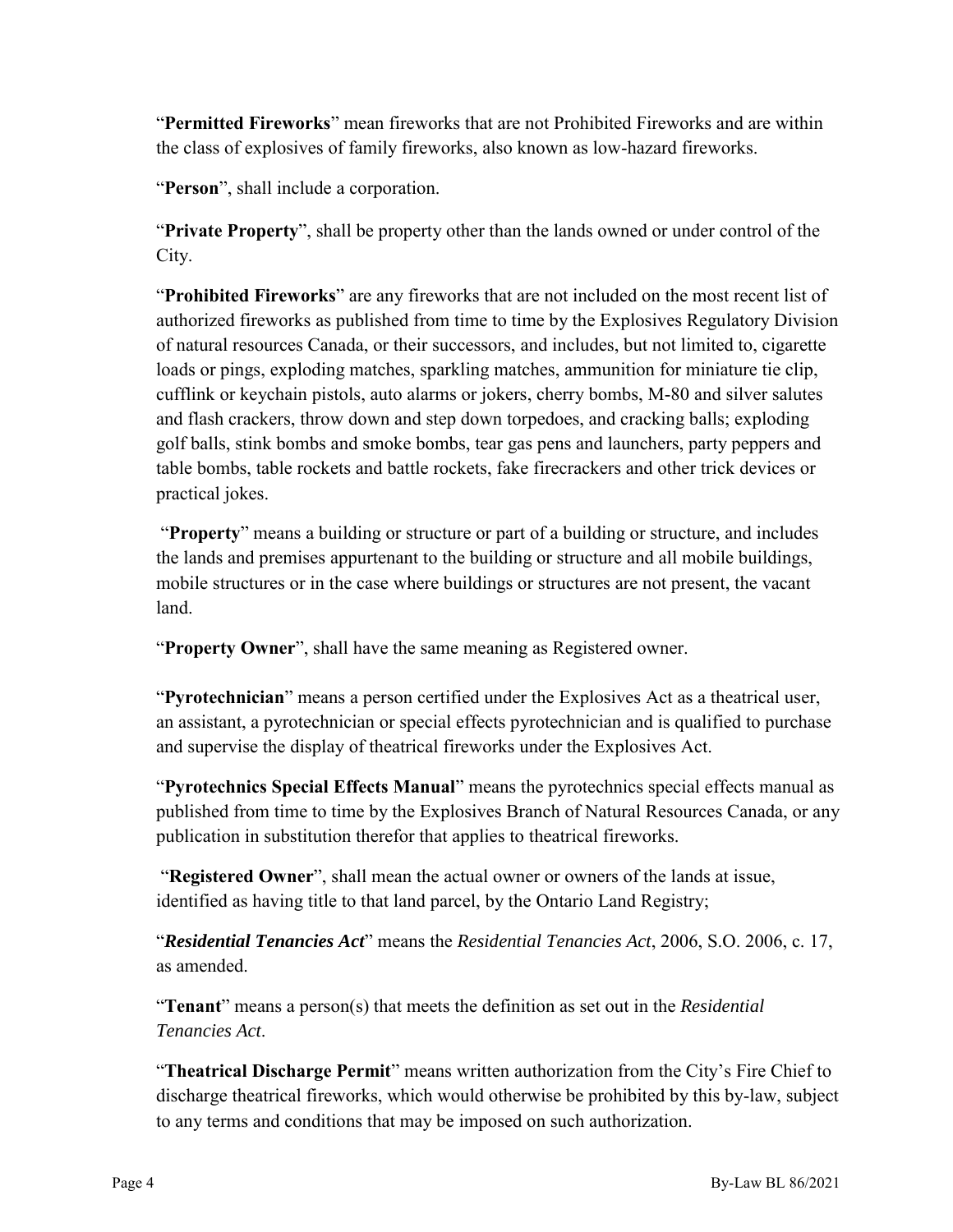"**Permitted Fireworks**" mean fireworks that are not Prohibited Fireworks and are within the class of explosives of family fireworks, also known as low-hazard fireworks.

"**Person**", shall include a corporation.

"**Private Property**", shall be property other than the lands owned or under control of the City.

"**Prohibited Fireworks**" are any fireworks that are not included on the most recent list of authorized fireworks as published from time to time by the Explosives Regulatory Division of natural resources Canada, or their successors, and includes, but not limited to, cigarette loads or pings, exploding matches, sparkling matches, ammunition for miniature tie clip, cufflink or keychain pistols, auto alarms or jokers, cherry bombs, M-80 and silver salutes and flash crackers, throw down and step down torpedoes, and cracking balls; exploding golf balls, stink bombs and smoke bombs, tear gas pens and launchers, party peppers and table bombs, table rockets and battle rockets, fake firecrackers and other trick devices or practical jokes.

"**Property**" means a building or structure or part of a building or structure, and includes the lands and premises appurtenant to the building or structure and all mobile buildings, mobile structures or in the case where buildings or structures are not present, the vacant land.

"**Property Owner**", shall have the same meaning as Registered owner.

"**Pyrotechnician**" means a person certified under the Explosives Act as a theatrical user, an assistant, a pyrotechnician or special effects pyrotechnician and is qualified to purchase and supervise the display of theatrical fireworks under the Explosives Act.

"**Pyrotechnics Special Effects Manual**" means the pyrotechnics special effects manual as published from time to time by the Explosives Branch of Natural Resources Canada, or any publication in substitution therefor that applies to theatrical fireworks.

"**Registered Owner**", shall mean the actual owner or owners of the lands at issue, identified as having title to that land parcel, by the Ontario Land Registry;

"*Residential Tenancies Act*" means the *Residential Tenancies Act*, 2006, S.O. 2006, c. 17, as amended.

"**Tenant**" means a person(s) that meets the definition as set out in the *Residential Tenancies Act*.

"**Theatrical Discharge Permit**" means written authorization from the City's Fire Chief to discharge theatrical fireworks, which would otherwise be prohibited by this by-law, subject to any terms and conditions that may be imposed on such authorization.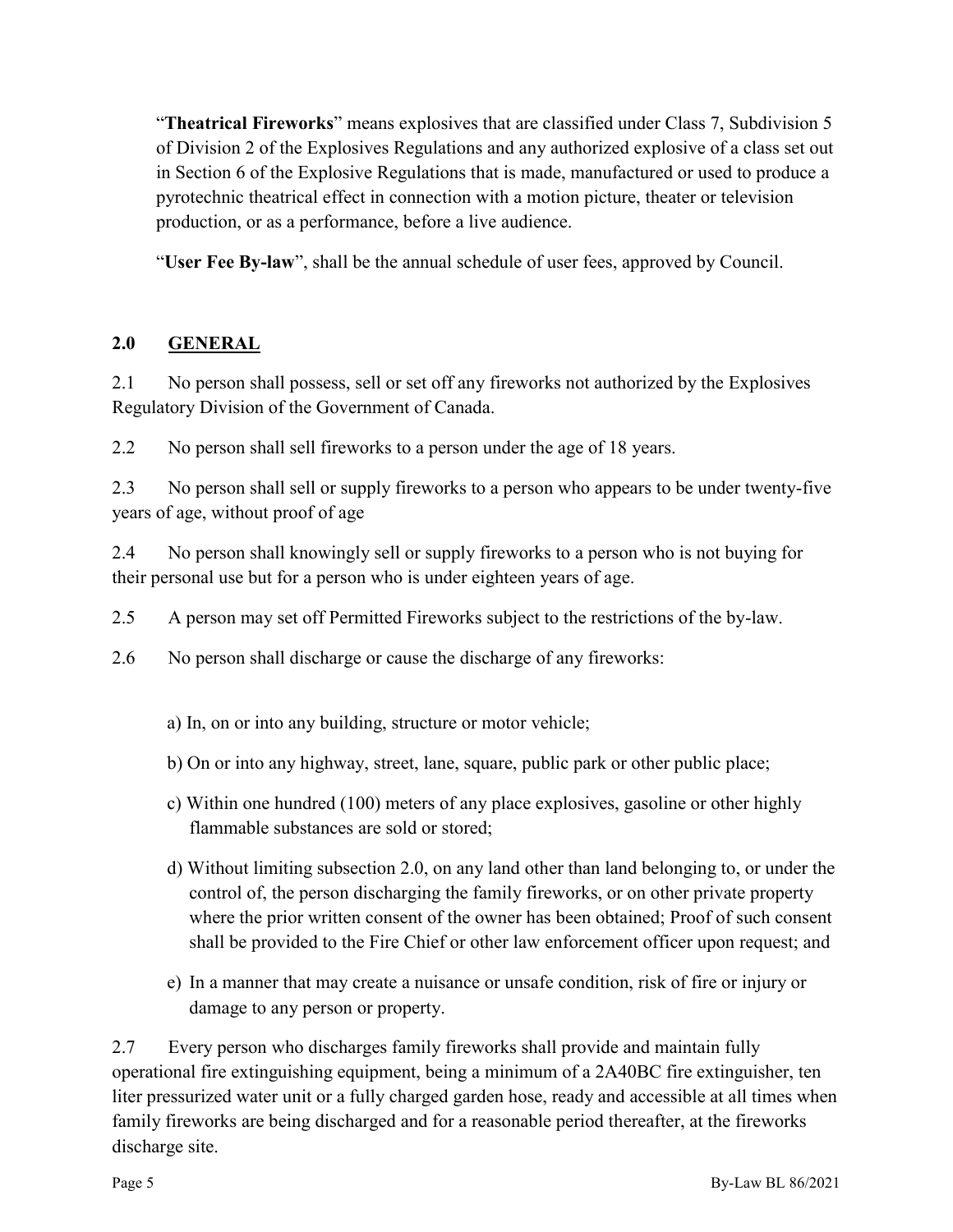"**Theatrical Fireworks**" means explosives that are classified under Class 7, Subdivision 5 of Division 2 of the Explosives Regulations and any authorized explosive of a class set out in Section 6 of the Explosive Regulations that is made, manufactured or used to produce a pyrotechnic theatrical effect in connection with a motion picture, theater or television production, or as a performance, before a live audience.

"**User Fee By-law**", shall be the annual schedule of user fees, approved by Council.

## **2.0 GENERAL**

2.1 No person shall possess, sell or set off any fireworks not authorized by the Explosives Regulatory Division of the Government of Canada.

2.2 No person shall sell fireworks to a person under the age of 18 years.

2.3 No person shall sell or supply fireworks to a person who appears to be under twenty-five years of age, without proof of age

2.4 No person shall knowingly sell or supply fireworks to a person who is not buying for their personal use but for a person who is under eighteen years of age.

2.5 A person may set off Permitted Fireworks subject to the restrictions of the by-law.

2.6 No person shall discharge or cause the discharge of any fireworks:

- a) In, on or into any building, structure or motor vehicle;
- b) On or into any highway, street, lane, square, public park or other public place;
- c) Within one hundred (100) meters of any place explosives, gasoline or other highly flammable substances are sold or stored;
- d) Without limiting subsection 2.0, on any land other than land belonging to, or under the control of, the person discharging the family fireworks, or on other private property where the prior written consent of the owner has been obtained; Proof of such consent shall be provided to the Fire Chief or other law enforcement officer upon request; and
- e) In a manner that may create a nuisance or unsafe condition, risk of fire or injury or damage to any person or property.

2.7 Every person who discharges family fireworks shall provide and maintain fully operational fire extinguishing equipment, being a minimum of a 2A40BC fire extinguisher, ten liter pressurized water unit or a fully charged garden hose, ready and accessible at all times when family fireworks are being discharged and for a reasonable period thereafter, at the fireworks discharge site.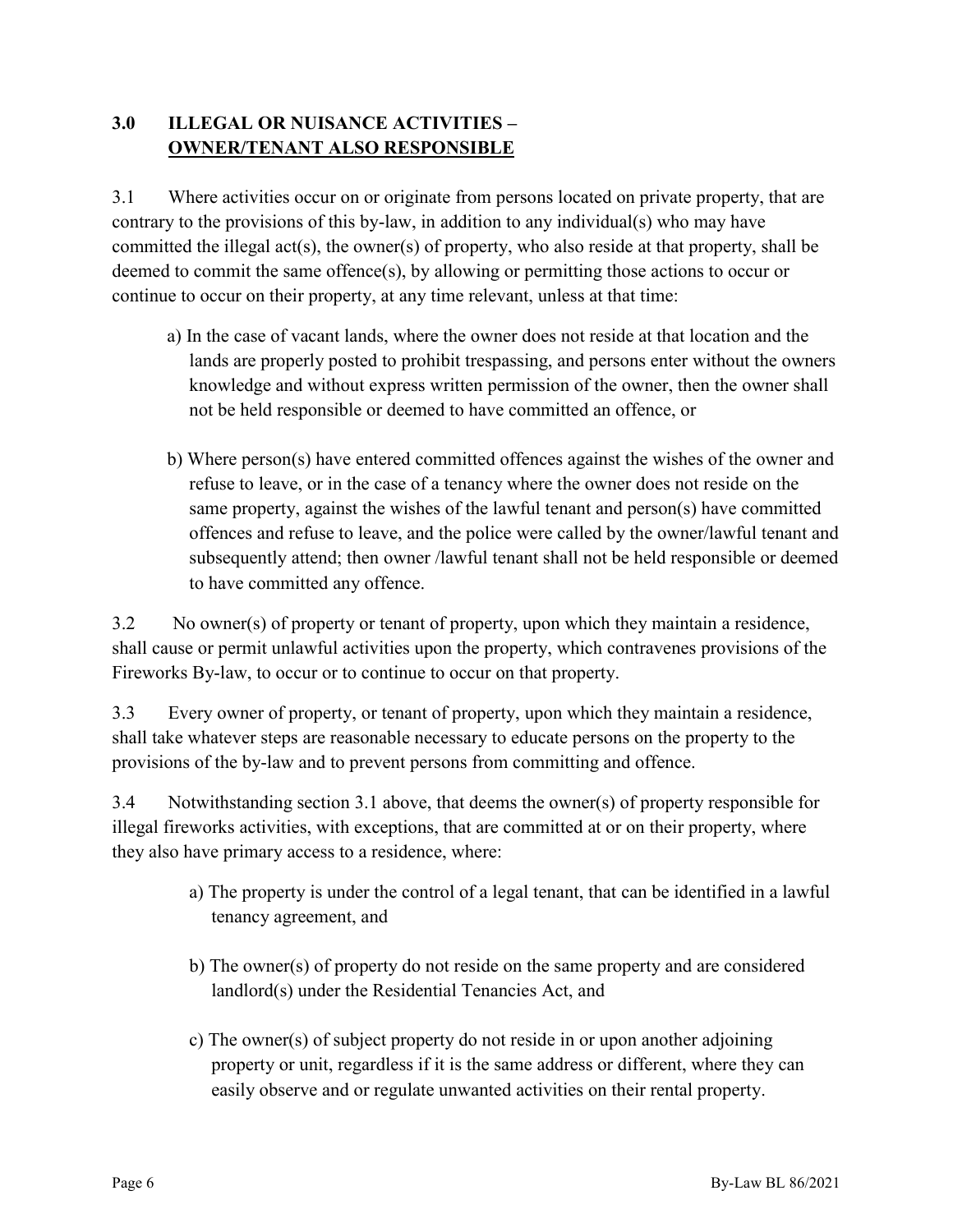## **3.0 ILLEGAL OR NUISANCE ACTIVITIES – OWNER/TENANT ALSO RESPONSIBLE**

3.1 Where activities occur on or originate from persons located on private property, that are contrary to the provisions of this by-law, in addition to any individual(s) who may have committed the illegal act(s), the owner(s) of property, who also reside at that property, shall be deemed to commit the same offence(s), by allowing or permitting those actions to occur or continue to occur on their property, at any time relevant, unless at that time:

- a) In the case of vacant lands, where the owner does not reside at that location and the lands are properly posted to prohibit trespassing, and persons enter without the owners knowledge and without express written permission of the owner, then the owner shall not be held responsible or deemed to have committed an offence, or
- b) Where person(s) have entered committed offences against the wishes of the owner and refuse to leave, or in the case of a tenancy where the owner does not reside on the same property, against the wishes of the lawful tenant and person(s) have committed offences and refuse to leave, and the police were called by the owner/lawful tenant and subsequently attend; then owner /lawful tenant shall not be held responsible or deemed to have committed any offence.

3.2 No owner(s) of property or tenant of property, upon which they maintain a residence, shall cause or permit unlawful activities upon the property, which contravenes provisions of the Fireworks By-law, to occur or to continue to occur on that property.

3.3 Every owner of property, or tenant of property, upon which they maintain a residence, shall take whatever steps are reasonable necessary to educate persons on the property to the provisions of the by-law and to prevent persons from committing and offence.

3.4 Notwithstanding section 3.1 above, that deems the owner(s) of property responsible for illegal fireworks activities, with exceptions, that are committed at or on their property, where they also have primary access to a residence, where:

- a) The property is under the control of a legal tenant, that can be identified in a lawful tenancy agreement, and
- b) The owner(s) of property do not reside on the same property and are considered landlord(s) under the Residential Tenancies Act, and
- c) The owner(s) of subject property do not reside in or upon another adjoining property or unit, regardless if it is the same address or different, where they can easily observe and or regulate unwanted activities on their rental property.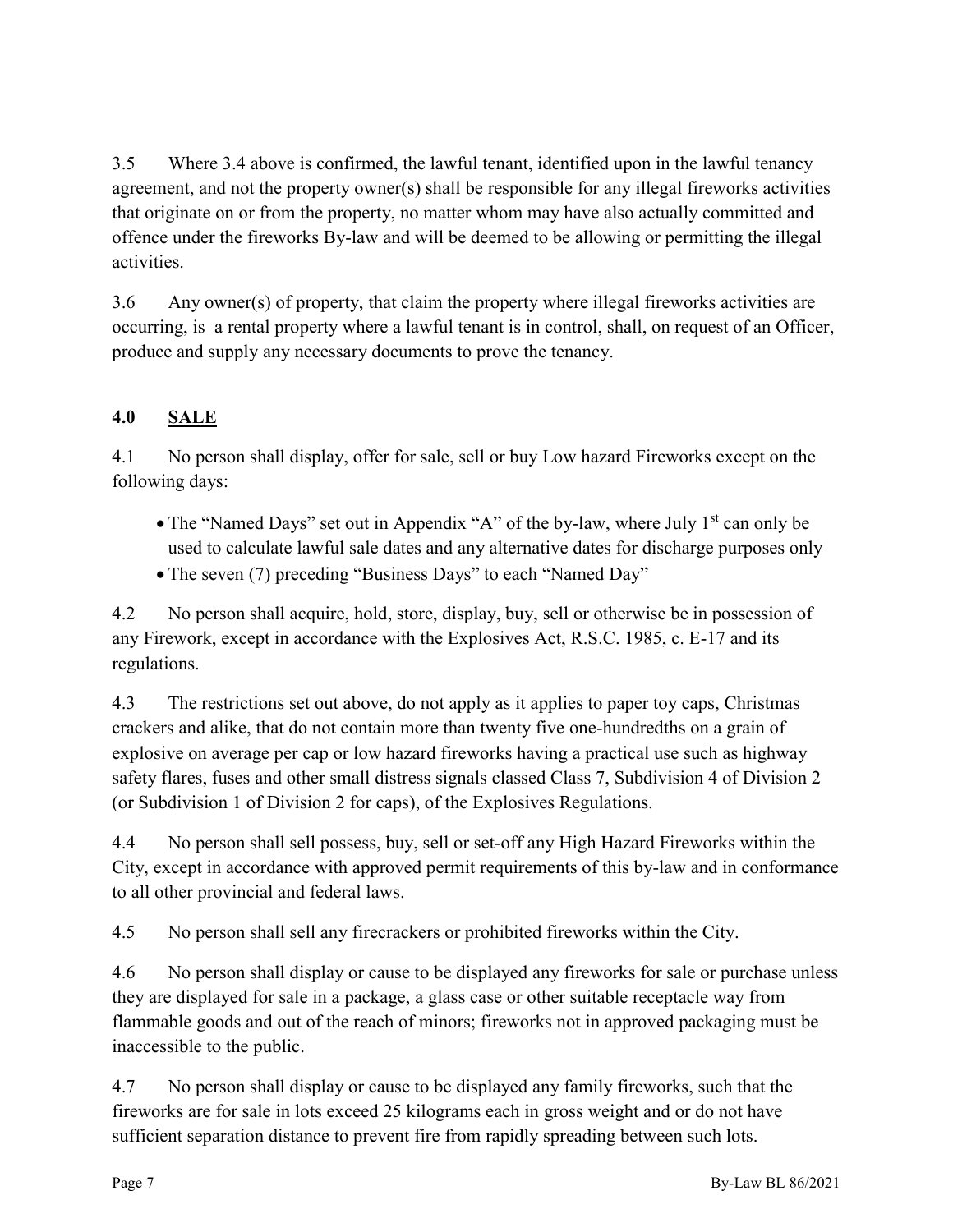3.5 Where 3.4 above is confirmed, the lawful tenant, identified upon in the lawful tenancy agreement, and not the property owner(s) shall be responsible for any illegal fireworks activities that originate on or from the property, no matter whom may have also actually committed and offence under the fireworks By-law and will be deemed to be allowing or permitting the illegal activities.

3.6 Any owner(s) of property, that claim the property where illegal fireworks activities are occurring, is a rental property where a lawful tenant is in control, shall, on request of an Officer, produce and supply any necessary documents to prove the tenancy.

# **4.0 SALE**

4.1 No person shall display, offer for sale, sell or buy Low hazard Fireworks except on the following days:

- The "Named Days" set out in Appendix "A" of the by-law, where July  $1<sup>st</sup>$  can only be used to calculate lawful sale dates and any alternative dates for discharge purposes only
- The seven (7) preceding "Business Days" to each "Named Day"

4.2 No person shall acquire, hold, store, display, buy, sell or otherwise be in possession of any Firework, except in accordance with the Explosives Act, R.S.C. 1985, c. E-17 and its regulations.

4.3 The restrictions set out above, do not apply as it applies to paper toy caps, Christmas crackers and alike, that do not contain more than twenty five one-hundredths on a grain of explosive on average per cap or low hazard fireworks having a practical use such as highway safety flares, fuses and other small distress signals classed Class 7, Subdivision 4 of Division 2 (or Subdivision 1 of Division 2 for caps), of the Explosives Regulations.

4.4 No person shall sell possess, buy, sell or set-off any High Hazard Fireworks within the City, except in accordance with approved permit requirements of this by-law and in conformance to all other provincial and federal laws.

4.5 No person shall sell any firecrackers or prohibited fireworks within the City.

4.6 No person shall display or cause to be displayed any fireworks for sale or purchase unless they are displayed for sale in a package, a glass case or other suitable receptacle way from flammable goods and out of the reach of minors; fireworks not in approved packaging must be inaccessible to the public.

4.7 No person shall display or cause to be displayed any family fireworks, such that the fireworks are for sale in lots exceed 25 kilograms each in gross weight and or do not have sufficient separation distance to prevent fire from rapidly spreading between such lots.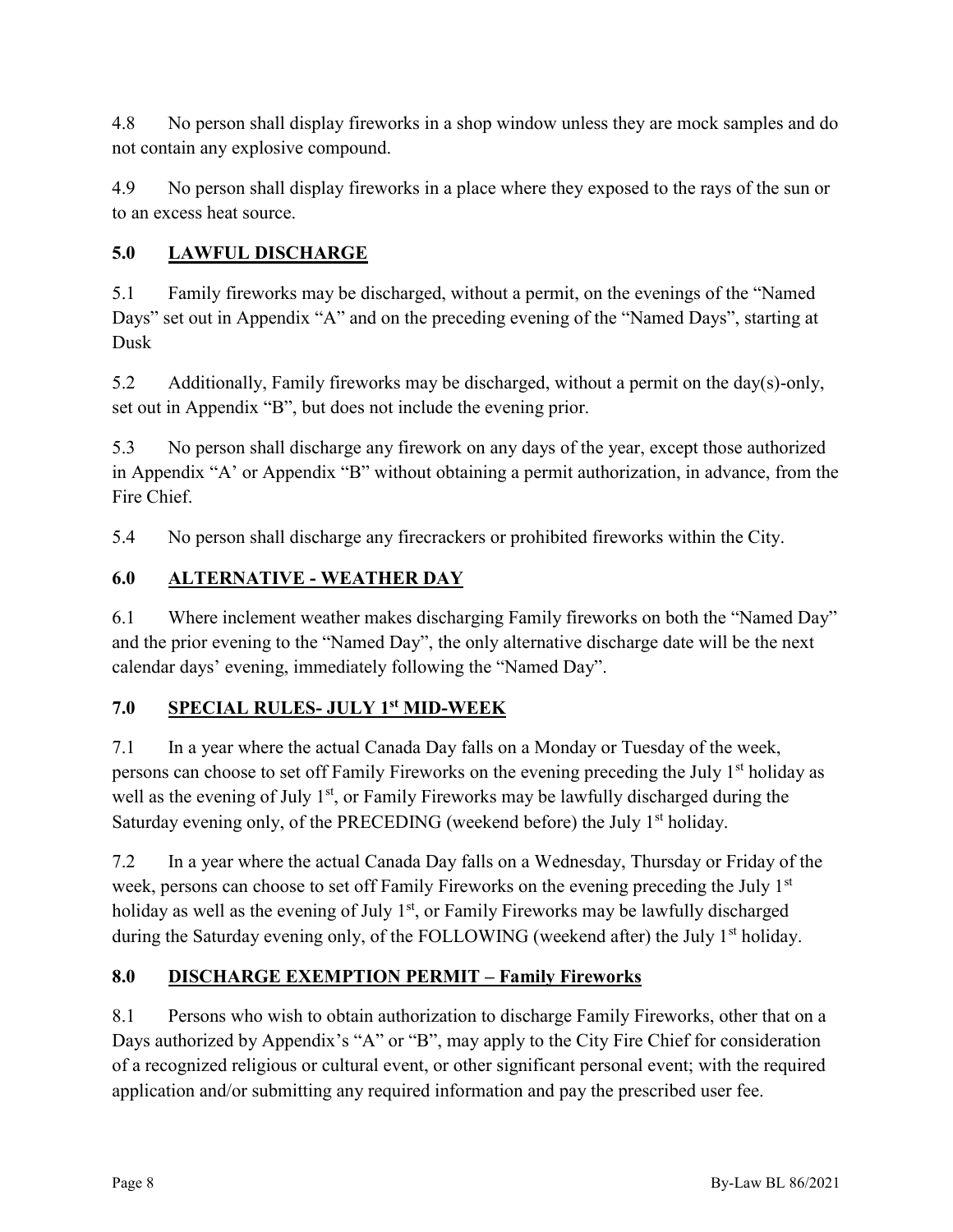4.8 No person shall display fireworks in a shop window unless they are mock samples and do not contain any explosive compound.

4.9 No person shall display fireworks in a place where they exposed to the rays of the sun or to an excess heat source.

## **5.0 LAWFUL DISCHARGE**

5.1 Family fireworks may be discharged, without a permit, on the evenings of the "Named Days" set out in Appendix "A" and on the preceding evening of the "Named Days", starting at Dusk

5.2 Additionally, Family fireworks may be discharged, without a permit on the day(s)-only, set out in Appendix "B", but does not include the evening prior.

5.3 No person shall discharge any firework on any days of the year, except those authorized in Appendix "A' or Appendix "B" without obtaining a permit authorization, in advance, from the Fire Chief.

5.4 No person shall discharge any firecrackers or prohibited fireworks within the City.

## **6.0 ALTERNATIVE - WEATHER DAY**

6.1 Where inclement weather makes discharging Family fireworks on both the "Named Day" and the prior evening to the "Named Day", the only alternative discharge date will be the next calendar days' evening, immediately following the "Named Day".

## **7.0 SPECIAL RULES- JULY 1st MID-WEEK**

7.1 In a year where the actual Canada Day falls on a Monday or Tuesday of the week, persons can choose to set off Family Fireworks on the evening preceding the July 1<sup>st</sup> holiday as well as the evening of July  $1<sup>st</sup>$ , or Family Fireworks may be lawfully discharged during the Saturday evening only, of the PRECEDING (weekend before) the July  $1<sup>st</sup>$  holiday.

7.2 In a year where the actual Canada Day falls on a Wednesday, Thursday or Friday of the week, persons can choose to set off Family Fireworks on the evening preceding the July 1<sup>st</sup> holiday as well as the evening of July  $1<sup>st</sup>$ , or Family Fireworks may be lawfully discharged during the Saturday evening only, of the FOLLOWING (weekend after) the July 1<sup>st</sup> holiday.

## **8.0 DISCHARGE EXEMPTION PERMIT – Family Fireworks**

8.1 Persons who wish to obtain authorization to discharge Family Fireworks, other that on a Days authorized by Appendix's "A" or "B", may apply to the City Fire Chief for consideration of a recognized religious or cultural event, or other significant personal event; with the required application and/or submitting any required information and pay the prescribed user fee.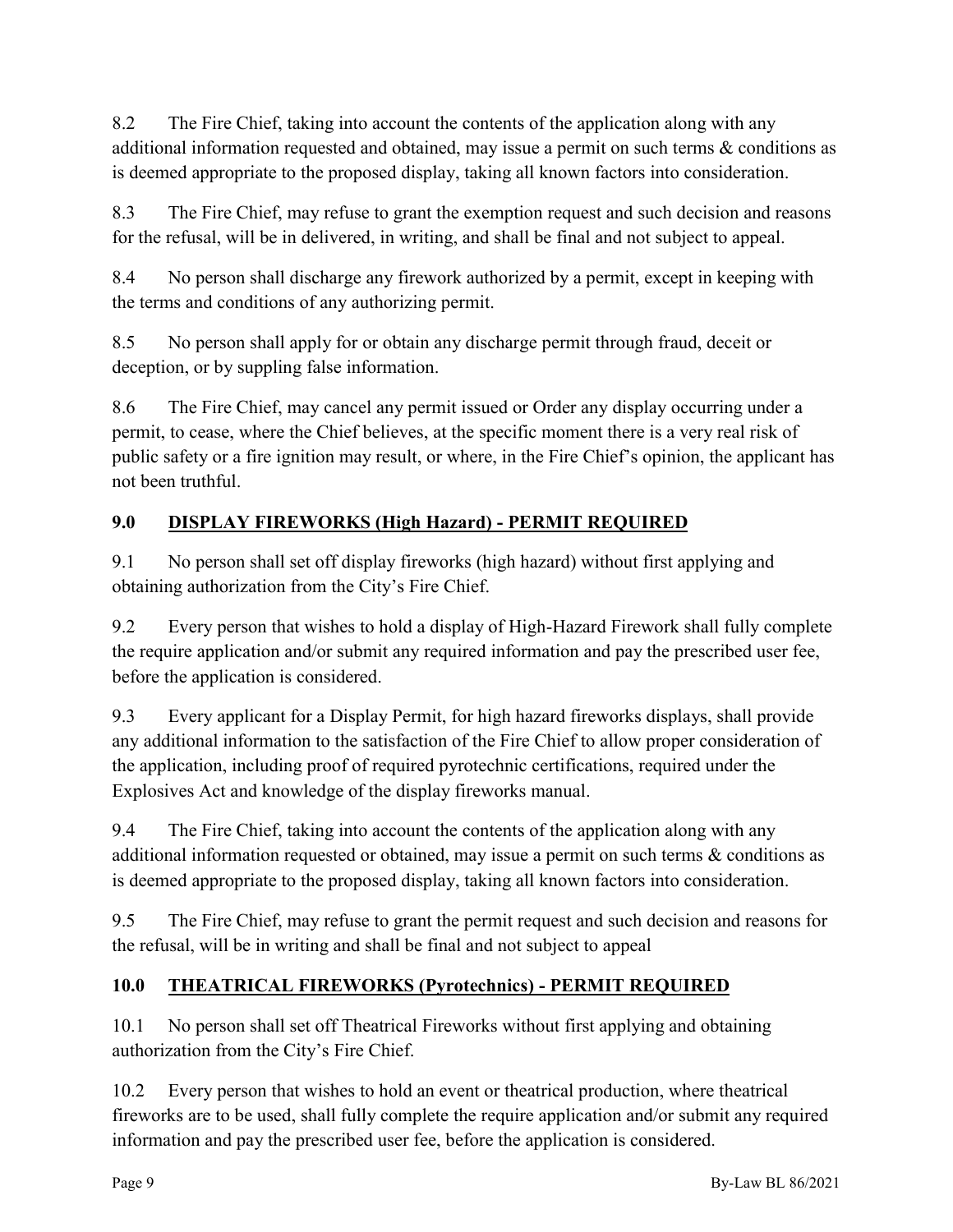8.2 The Fire Chief, taking into account the contents of the application along with any additional information requested and obtained, may issue a permit on such terms & conditions as is deemed appropriate to the proposed display, taking all known factors into consideration.

8.3 The Fire Chief, may refuse to grant the exemption request and such decision and reasons for the refusal, will be in delivered, in writing, and shall be final and not subject to appeal.

8.4 No person shall discharge any firework authorized by a permit, except in keeping with the terms and conditions of any authorizing permit.

8.5 No person shall apply for or obtain any discharge permit through fraud, deceit or deception, or by suppling false information.

8.6 The Fire Chief, may cancel any permit issued or Order any display occurring under a permit, to cease, where the Chief believes, at the specific moment there is a very real risk of public safety or a fire ignition may result, or where, in the Fire Chief's opinion, the applicant has not been truthful.

# **9.0 DISPLAY FIREWORKS (High Hazard) - PERMIT REQUIRED**

9.1 No person shall set off display fireworks (high hazard) without first applying and obtaining authorization from the City's Fire Chief.

9.2 Every person that wishes to hold a display of High-Hazard Firework shall fully complete the require application and/or submit any required information and pay the prescribed user fee, before the application is considered.

9.3 Every applicant for a Display Permit, for high hazard fireworks displays, shall provide any additional information to the satisfaction of the Fire Chief to allow proper consideration of the application, including proof of required pyrotechnic certifications, required under the Explosives Act and knowledge of the display fireworks manual.

9.4 The Fire Chief, taking into account the contents of the application along with any additional information requested or obtained, may issue a permit on such terms & conditions as is deemed appropriate to the proposed display, taking all known factors into consideration.

9.5 The Fire Chief, may refuse to grant the permit request and such decision and reasons for the refusal, will be in writing and shall be final and not subject to appeal

## **10.0 THEATRICAL FIREWORKS (Pyrotechnics) - PERMIT REQUIRED**

10.1 No person shall set off Theatrical Fireworks without first applying and obtaining authorization from the City's Fire Chief.

10.2 Every person that wishes to hold an event or theatrical production, where theatrical fireworks are to be used, shall fully complete the require application and/or submit any required information and pay the prescribed user fee, before the application is considered.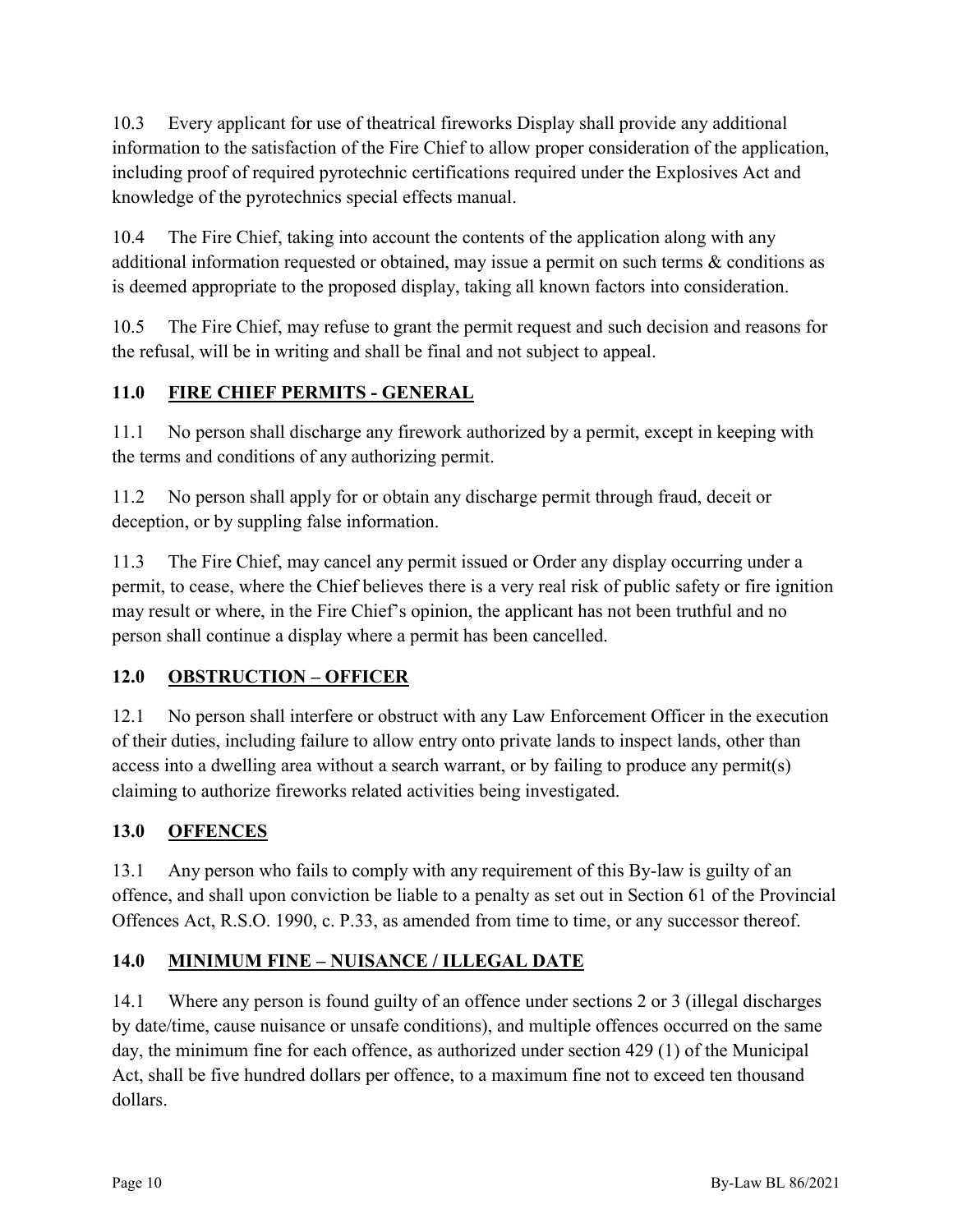10.3 Every applicant for use of theatrical fireworks Display shall provide any additional information to the satisfaction of the Fire Chief to allow proper consideration of the application, including proof of required pyrotechnic certifications required under the Explosives Act and knowledge of the pyrotechnics special effects manual.

10.4 The Fire Chief, taking into account the contents of the application along with any additional information requested or obtained, may issue a permit on such terms & conditions as is deemed appropriate to the proposed display, taking all known factors into consideration.

10.5 The Fire Chief, may refuse to grant the permit request and such decision and reasons for the refusal, will be in writing and shall be final and not subject to appeal.

## **11.0 FIRE CHIEF PERMITS - GENERAL**

11.1 No person shall discharge any firework authorized by a permit, except in keeping with the terms and conditions of any authorizing permit.

11.2 No person shall apply for or obtain any discharge permit through fraud, deceit or deception, or by suppling false information.

11.3 The Fire Chief, may cancel any permit issued or Order any display occurring under a permit, to cease, where the Chief believes there is a very real risk of public safety or fire ignition may result or where, in the Fire Chief's opinion, the applicant has not been truthful and no person shall continue a display where a permit has been cancelled.

## **12.0 OBSTRUCTION – OFFICER**

12.1 No person shall interfere or obstruct with any Law Enforcement Officer in the execution of their duties, including failure to allow entry onto private lands to inspect lands, other than access into a dwelling area without a search warrant, or by failing to produce any permit(s) claiming to authorize fireworks related activities being investigated.

## **13.0 OFFENCES**

13.1 Any person who fails to comply with any requirement of this By-law is guilty of an offence, and shall upon conviction be liable to a penalty as set out in Section 61 of the Provincial Offences Act, R.S.O. 1990, c. P.33, as amended from time to time, or any successor thereof.

## **14.0 MINIMUM FINE – NUISANCE / ILLEGAL DATE**

14.1 Where any person is found guilty of an offence under sections 2 or 3 (illegal discharges by date/time, cause nuisance or unsafe conditions), and multiple offences occurred on the same day, the minimum fine for each offence, as authorized under section 429 (1) of the Municipal Act, shall be five hundred dollars per offence, to a maximum fine not to exceed ten thousand dollars.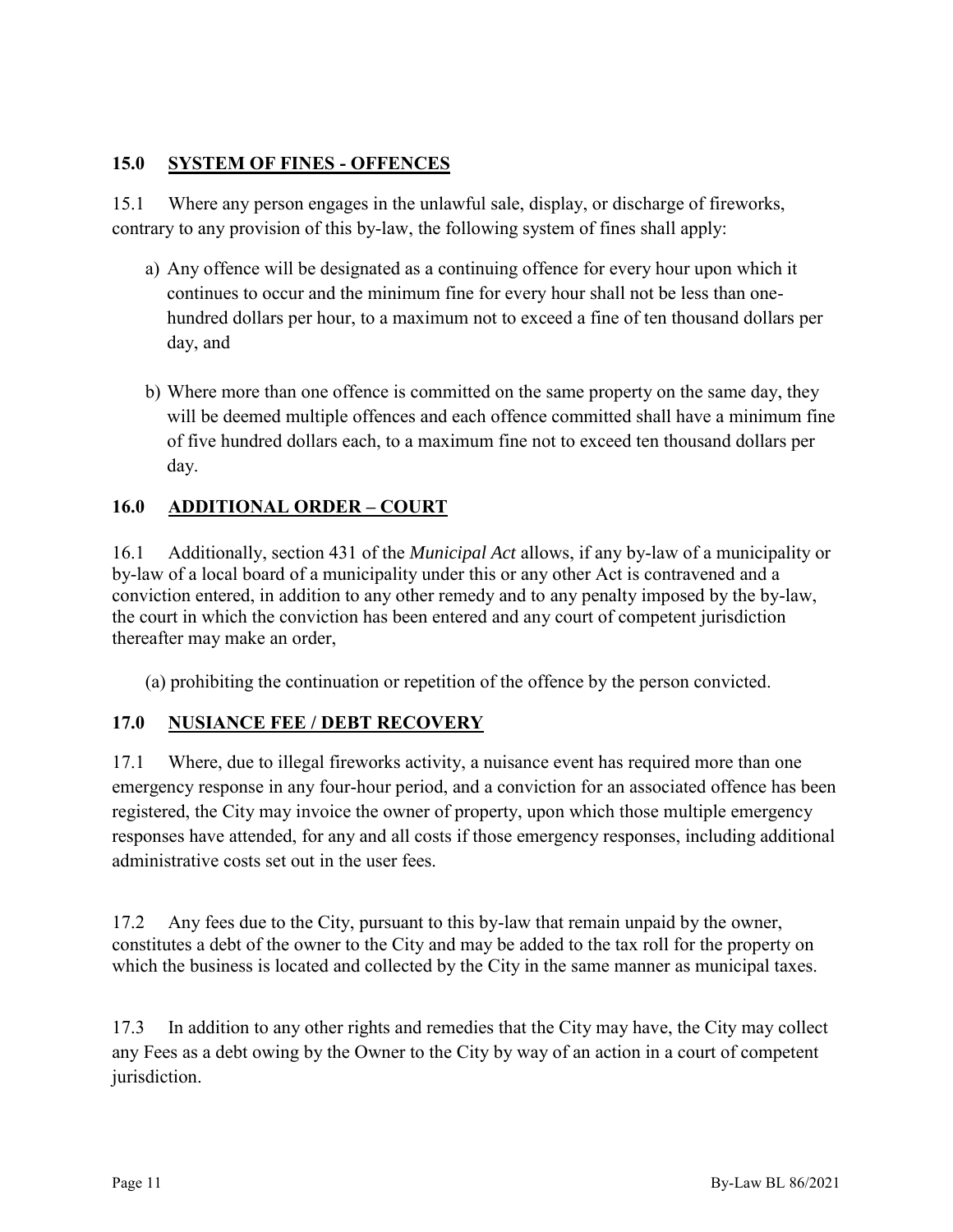#### **15.0 SYSTEM OF FINES - OFFENCES**

15.1 Where any person engages in the unlawful sale, display, or discharge of fireworks, contrary to any provision of this by-law, the following system of fines shall apply:

- a) Any offence will be designated as a continuing offence for every hour upon which it continues to occur and the minimum fine for every hour shall not be less than onehundred dollars per hour, to a maximum not to exceed a fine of ten thousand dollars per day, and
- b) Where more than one offence is committed on the same property on the same day, they will be deemed multiple offences and each offence committed shall have a minimum fine of five hundred dollars each, to a maximum fine not to exceed ten thousand dollars per day.

## **16.0 ADDITIONAL ORDER – COURT**

16.1 Additionally, section 431 of the *Municipal Act* allows, if any by-law of a municipality or by-law of a local board of a municipality under this or any other Act is contravened and a conviction entered, in addition to any other remedy and to any penalty imposed by the by-law, the court in which the conviction has been entered and any court of competent jurisdiction thereafter may make an order,

(a) prohibiting the continuation or repetition of the offence by the person convicted.

## **17.0 NUSIANCE FEE / DEBT RECOVERY**

17.1 Where, due to illegal fireworks activity, a nuisance event has required more than one emergency response in any four-hour period, and a conviction for an associated offence has been registered, the City may invoice the owner of property, upon which those multiple emergency responses have attended, for any and all costs if those emergency responses, including additional administrative costs set out in the user fees.

17.2 Any fees due to the City, pursuant to this by-law that remain unpaid by the owner, constitutes a debt of the owner to the City and may be added to the tax roll for the property on which the business is located and collected by the City in the same manner as municipal taxes.

17.3 In addition to any other rights and remedies that the City may have, the City may collect any Fees as a debt owing by the Owner to the City by way of an action in a court of competent jurisdiction.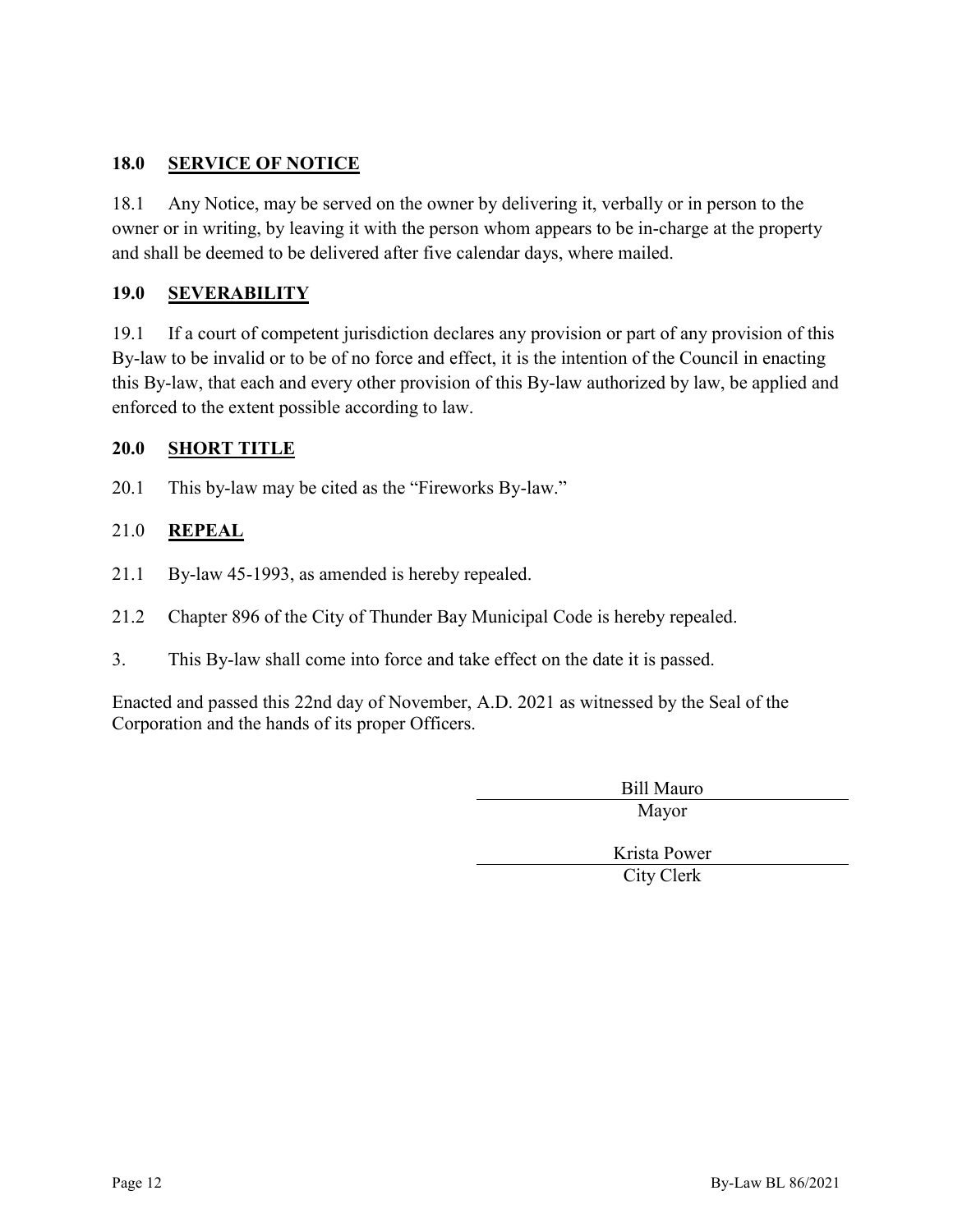#### **18.0 SERVICE OF NOTICE**

18.1 Any Notice, may be served on the owner by delivering it, verbally or in person to the owner or in writing, by leaving it with the person whom appears to be in-charge at the property and shall be deemed to be delivered after five calendar days, where mailed.

#### **19.0 SEVERABILITY**

19.1 If a court of competent jurisdiction declares any provision or part of any provision of this By-law to be invalid or to be of no force and effect, it is the intention of the Council in enacting this By-law, that each and every other provision of this By-law authorized by law, be applied and enforced to the extent possible according to law.

#### **20.0 SHORT TITLE**

20.1 This by-law may be cited as the "Fireworks By-law."

#### 21.0 **REPEAL**

- 21.1 By-law 45-1993, as amended is hereby repealed.
- 21.2 Chapter 896 of the City of Thunder Bay Municipal Code is hereby repealed.
- 3. This By-law shall come into force and take effect on the date it is passed.

Enacted and passed this 22nd day of November, A.D. 2021 as witnessed by the Seal of the Corporation and the hands of its proper Officers.

> Bill Mauro Mayor

Krista Power City Clerk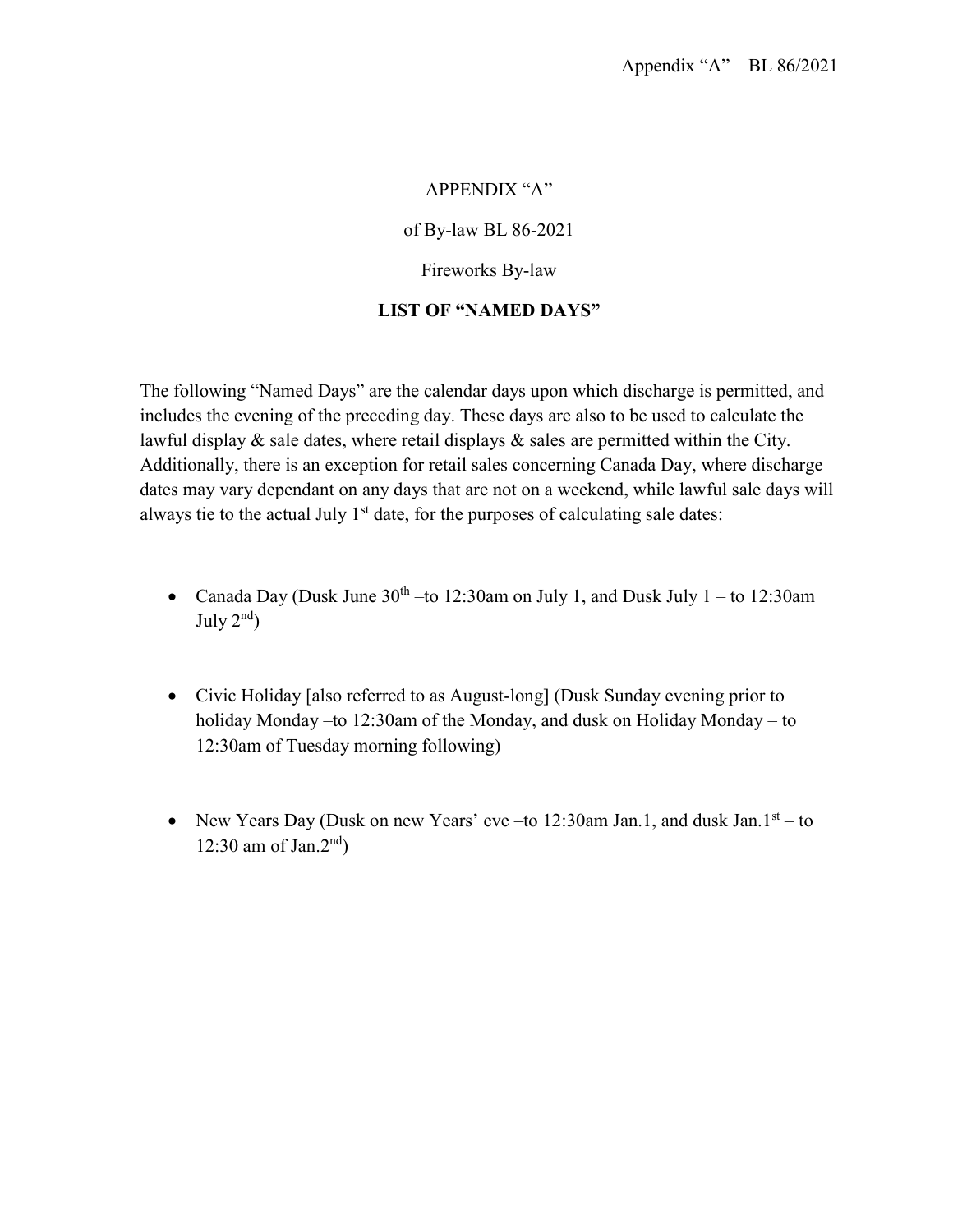#### APPENDIX "A"

of By-law BL 86-2021

Fireworks By-law

#### **LIST OF "NAMED DAYS"**

The following "Named Days" are the calendar days upon which discharge is permitted, and includes the evening of the preceding day. These days are also to be used to calculate the lawful display  $\&$  sale dates, where retail displays  $\&$  sales are permitted within the City. Additionally, there is an exception for retail sales concerning Canada Day, where discharge dates may vary dependant on any days that are not on a weekend, while lawful sale days will always tie to the actual July  $1<sup>st</sup>$  date, for the purposes of calculating sale dates:

- Canada Day (Dusk June  $30<sup>th</sup>$  –to 12:30am on July 1, and Dusk July 1 to 12:30am July  $2<sup>nd</sup>$ )
- Civic Holiday [also referred to as August-long] (Dusk Sunday evening prior to holiday Monday –to 12:30am of the Monday, and dusk on Holiday Monday – to 12:30am of Tuesday morning following)
- New Years Day (Dusk on new Years' eve –to 12:30am Jan.1, and dusk Jan.1st to 12:30 am of Jan.2<sup>nd</sup>)